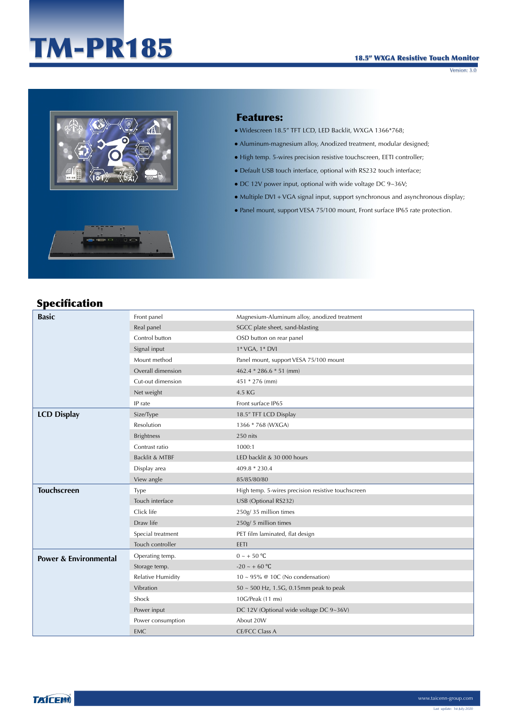# TM-PR185

Version: 3.0



### Features:

- Widescreen 18.5" TFT LCD, LED Backlit, WXGA 1366\*768;
- Aluminum-magnesium alloy, Anodized treatment, modular designed;
- High temp. 5-wires precision resistive touchscreen, EETI controller;
- Default USB touch interface, optional with RS232 touch interface;
- $\bullet$  DC 12V power input, optional with wide voltage DC 9~36V;
- Multiple DVI + VGA signal input, support synchronous and asynchronous display;
- Panel mount, support VESA 75/100 mount, Front surface IP65 rate protection.

# Specification

| <b>Basic</b>                     | Front panel              | Magnesium-Aluminum alloy, anodized treatment       |  |
|----------------------------------|--------------------------|----------------------------------------------------|--|
|                                  | Real panel               | SGCC plate sheet, sand-blasting                    |  |
|                                  | Control button           | OSD button on rear panel                           |  |
|                                  | Signal input             | 1* VGA, 1* DVI                                     |  |
|                                  | Mount method             | Panel mount, support VESA 75/100 mount             |  |
|                                  | Overall dimension        | 462.4 $*$ 286.6 $*$ 51 (mm)                        |  |
|                                  | Cut-out dimension        | 451 * 276 (mm)                                     |  |
|                                  | Net weight               | 4.5 KG                                             |  |
|                                  | IP rate                  | Front surface IP65                                 |  |
| <b>LCD Display</b>               | Size/Type                | 18.5" TFT LCD Display                              |  |
|                                  | Resolution               | 1366 * 768 (WXGA)                                  |  |
|                                  | <b>Brightness</b>        | 250 nits                                           |  |
|                                  | Contrast ratio           | 1000:1                                             |  |
|                                  | Backlit & MTBF           | LED backlit & 30 000 hours                         |  |
|                                  | Display area             | 409.8 * 230.4                                      |  |
|                                  | View angle               | 85/85/80/80                                        |  |
| <b>Touchscreen</b>               | <b>Type</b>              | High temp. 5-wires precision resistive touchscreen |  |
|                                  | Touch interface          | USB (Optional RS232)                               |  |
|                                  | Click life               | 250g/35 million times                              |  |
|                                  | Draw life                | 250g/5 million times                               |  |
|                                  | Special treatment        | PET film laminated, flat design                    |  |
|                                  | Touch controller         | EETI                                               |  |
| <b>Power &amp; Environmental</b> | Operating temp.          | $0 \sim +50$ °C                                    |  |
|                                  | Storage temp.            | $-20 \sim +60$ °C                                  |  |
|                                  | <b>Relative Humidity</b> | $10 \sim 95\%$ @ 10C (No condensation)             |  |
|                                  | Vibration                | $50 \sim 500$ Hz, 1.5G, 0.15mm peak to peak        |  |
|                                  | Shock                    | 10G/Peak (11 ms)                                   |  |
|                                  | Power input              | DC 12V (Optional wide voltage DC 9~36V)            |  |
|                                  | Power consumption        | About 20W                                          |  |
|                                  | <b>EMC</b>               | <b>CE/FCC Class A</b>                              |  |